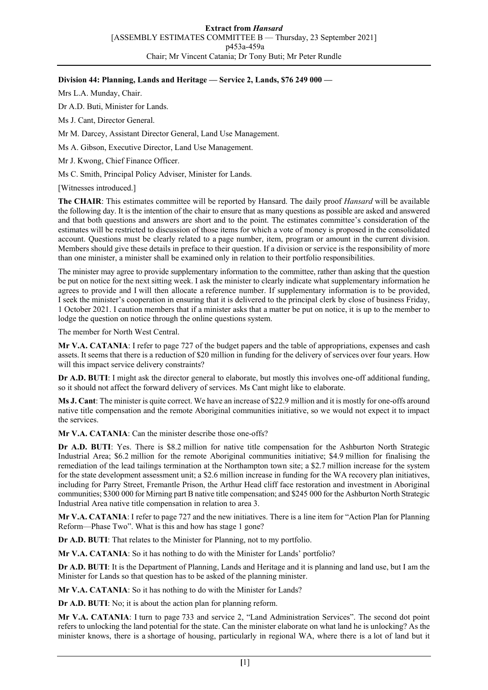## **Division 44: Planning, Lands and Heritage — Service 2, Lands, \$76 249 000 —**

Mrs L.A. Munday, Chair.

Dr A.D. Buti, Minister for Lands.

Ms J. Cant, Director General.

Mr M. Darcey, Assistant Director General, Land Use Management.

Ms A. Gibson, Executive Director, Land Use Management.

Mr J. Kwong, Chief Finance Officer.

Ms C. Smith, Principal Policy Adviser, Minister for Lands.

[Witnesses introduced.]

**The CHAIR**: This estimates committee will be reported by Hansard. The daily proof *Hansard* will be available the following day. It is the intention of the chair to ensure that as many questions as possible are asked and answered and that both questions and answers are short and to the point. The estimates committee's consideration of the estimates will be restricted to discussion of those items for which a vote of money is proposed in the consolidated account. Questions must be clearly related to a page number, item, program or amount in the current division. Members should give these details in preface to their question. If a division or service is the responsibility of more than one minister, a minister shall be examined only in relation to their portfolio responsibilities.

The minister may agree to provide supplementary information to the committee, rather than asking that the question be put on notice for the next sitting week. I ask the minister to clearly indicate what supplementary information he agrees to provide and I will then allocate a reference number. If supplementary information is to be provided, I seek the minister's cooperation in ensuring that it is delivered to the principal clerk by close of business Friday, 1 October 2021. I caution members that if a minister asks that a matter be put on notice, it is up to the member to lodge the question on notice through the online questions system.

The member for North West Central.

**Mr V.A. CATANIA**: I refer to page 727 of the budget papers and the table of appropriations, expenses and cash assets. It seems that there is a reduction of \$20 million in funding for the delivery of services over four years. How will this impact service delivery constraints?

**Dr A.D. BUTI**: I might ask the director general to elaborate, but mostly this involves one-off additional funding, so it should not affect the forward delivery of services. Ms Cant might like to elaborate.

**Ms J. Cant**: The minister is quite correct. We have an increase of \$22.9 million and it is mostly for one-offs around native title compensation and the remote Aboriginal communities initiative, so we would not expect it to impact the services.

**Mr V.A. CATANIA**: Can the minister describe those one-offs?

**Dr A.D. BUTI**: Yes. There is \$8.2 million for native title compensation for the Ashburton North Strategic Industrial Area; \$6.2 million for the remote Aboriginal communities initiative; \$4.9 million for finalising the remediation of the lead tailings termination at the Northampton town site; a \$2.7 million increase for the system for the state development assessment unit; a \$2.6 million increase in funding for the WA recovery plan initiatives, including for Parry Street, Fremantle Prison, the Arthur Head cliff face restoration and investment in Aboriginal communities; \$300 000 for Mirning part B native title compensation; and \$245 000 for the Ashburton North Strategic Industrial Area native title compensation in relation to area 3.

**Mr V.A. CATANIA**: I refer to page 727 and the new initiatives. There is a line item for "Action Plan for Planning Reform—Phase Two". What is this and how has stage 1 gone?

**Dr A.D. BUTI**: That relates to the Minister for Planning, not to my portfolio.

**Mr V.A. CATANIA**: So it has nothing to do with the Minister for Lands' portfolio?

**Dr A.D. BUTI**: It is the Department of Planning, Lands and Heritage and it is planning and land use, but I am the Minister for Lands so that question has to be asked of the planning minister.

**Mr V.A. CATANIA**: So it has nothing to do with the Minister for Lands?

**Dr A.D. BUTI**: No; it is about the action plan for planning reform.

**Mr V.A. CATANIA**: I turn to page 733 and service 2, "Land Administration Services". The second dot point refers to unlocking the land potential for the state. Can the minister elaborate on what land he is unlocking? As the minister knows, there is a shortage of housing, particularly in regional WA, where there is a lot of land but it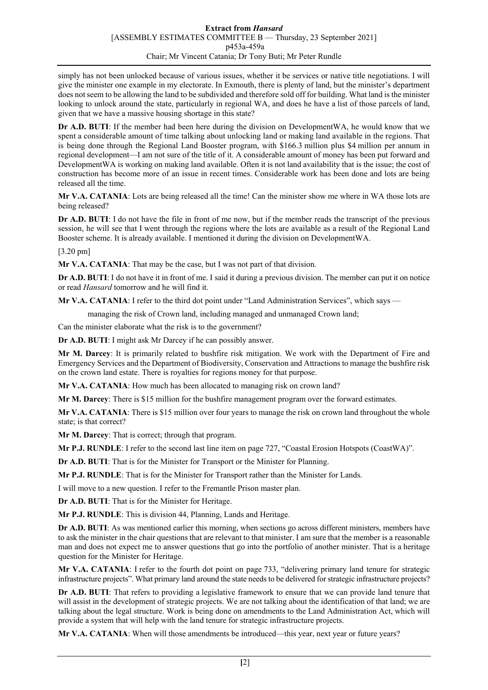simply has not been unlocked because of various issues, whether it be services or native title negotiations. I will give the minister one example in my electorate. In Exmouth, there is plenty of land, but the minister's department does not seem to be allowing the land to be subdivided and therefore sold off for building. What land is the minister looking to unlock around the state, particularly in regional WA, and does he have a list of those parcels of land, given that we have a massive housing shortage in this state?

**Dr A.D. BUTI**: If the member had been here during the division on DevelopmentWA, he would know that we spent a considerable amount of time talking about unlocking land or making land available in the regions. That is being done through the Regional Land Booster program, with \$166.3 million plus \$4 million per annum in regional development—I am not sure of the title of it. A considerable amount of money has been put forward and DevelopmentWA is working on making land available. Often it is not land availability that is the issue; the cost of construction has become more of an issue in recent times. Considerable work has been done and lots are being released all the time.

**Mr V.A. CATANIA**: Lots are being released all the time! Can the minister show me where in WA those lots are being released?

**Dr A.D. BUTI**: I do not have the file in front of me now, but if the member reads the transcript of the previous session, he will see that I went through the regions where the lots are available as a result of the Regional Land Booster scheme. It is already available. I mentioned it during the division on DevelopmentWA.

[3.20 pm]

**Mr V.A. CATANIA**: That may be the case, but I was not part of that division.

**Dr A.D. BUTI**: I do not have it in front of me. I said it during a previous division. The member can put it on notice or read *Hansard* tomorrow and he will find it.

**Mr V.A. CATANIA**: I refer to the third dot point under "Land Administration Services", which says —

managing the risk of Crown land, including managed and unmanaged Crown land;

Can the minister elaborate what the risk is to the government?

**Dr A.D. BUTI**: I might ask Mr Darcey if he can possibly answer.

**Mr M. Darcey**: It is primarily related to bushfire risk mitigation. We work with the Department of Fire and Emergency Services and the Department of Biodiversity, Conservation and Attractions to manage the bushfire risk on the crown land estate. There is royalties for regions money for that purpose.

**Mr V.A. CATANIA**: How much has been allocated to managing risk on crown land?

**Mr M. Darcey**: There is \$15 million for the bushfire management program over the forward estimates.

**Mr V.A. CATANIA**: There is \$15 million over four years to manage the risk on crown land throughout the whole state; is that correct?

**Mr M. Darcey**: That is correct; through that program.

**Mr P.J. RUNDLE**: I refer to the second last line item on page 727, "Coastal Erosion Hotspots (CoastWA)".

**Dr A.D. BUTI**: That is for the Minister for Transport or the Minister for Planning.

**Mr P.J. RUNDLE**: That is for the Minister for Transport rather than the Minister for Lands.

I will move to a new question. I refer to the Fremantle Prison master plan.

**Dr A.D. BUTI**: That is for the Minister for Heritage.

**Mr P.J. RUNDLE**: This is division 44, Planning, Lands and Heritage.

**Dr A.D. BUTI**: As was mentioned earlier this morning, when sections go across different ministers, members have to ask the minister in the chair questions that are relevant to that minister. I am sure that the member is a reasonable man and does not expect me to answer questions that go into the portfolio of another minister. That is a heritage question for the Minister for Heritage.

**Mr V.A. CATANIA**: I refer to the fourth dot point on page 733, "delivering primary land tenure for strategic infrastructure projects". What primary land around the state needs to be delivered for strategic infrastructure projects?

**Dr A.D. BUTI**: That refers to providing a legislative framework to ensure that we can provide land tenure that will assist in the development of strategic projects. We are not talking about the identification of that land; we are talking about the legal structure. Work is being done on amendments to the Land Administration Act, which will provide a system that will help with the land tenure for strategic infrastructure projects.

**Mr V.A. CATANIA**: When will those amendments be introduced—this year, next year or future years?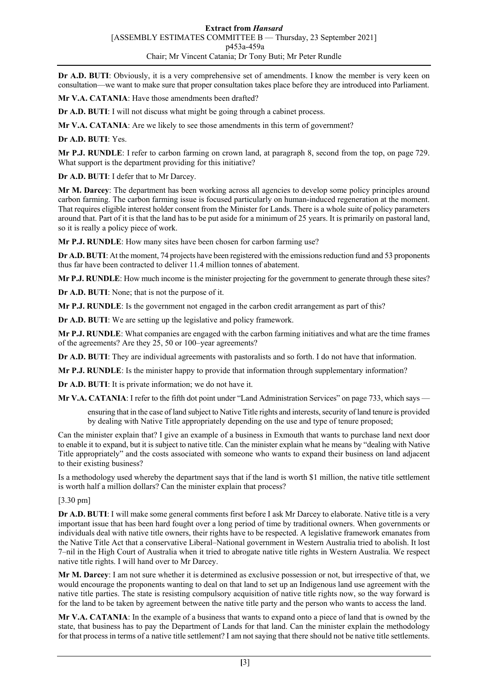**Dr A.D. BUTI:** Obviously, it is a very comprehensive set of amendments. I know the member is very keen on consultation—we want to make sure that proper consultation takes place before they are introduced into Parliament.

**Mr V.A. CATANIA**: Have those amendments been drafted?

**Dr A.D. BUTI:** I will not discuss what might be going through a cabinet process.

**Mr V.A. CATANIA**: Are we likely to see those amendments in this term of government?

**Dr A.D. BUTI**: Yes.

**Mr P.J. RUNDLE**: I refer to carbon farming on crown land, at paragraph 8, second from the top, on page 729. What support is the department providing for this initiative?

**Dr A.D. BUTI**: I defer that to Mr Darcey.

**Mr M. Darcey**: The department has been working across all agencies to develop some policy principles around carbon farming. The carbon farming issue is focused particularly on human-induced regeneration at the moment. That requires eligible interest holder consent from the Minister for Lands. There is a whole suite of policy parameters around that. Part of it is that the land has to be put aside for a minimum of 25 years. It is primarily on pastoral land, so it is really a policy piece of work.

**Mr P.J. RUNDLE**: How many sites have been chosen for carbon farming use?

**Dr A.D. BUTI**: At the moment, 74 projects have been registered with the emissions reduction fund and 53 proponents thus far have been contracted to deliver 11.4 million tonnes of abatement.

**Mr P.J. RUNDLE**: How much income is the minister projecting for the government to generate through these sites?

**Dr A.D. BUTI**: None; that is not the purpose of it.

**Mr P.J. RUNDLE**: Is the government not engaged in the carbon credit arrangement as part of this?

**Dr A.D. BUTI**: We are setting up the legislative and policy framework.

**Mr P.J. RUNDLE**: What companies are engaged with the carbon farming initiatives and what are the time frames of the agreements? Are they 25, 50 or 100–year agreements?

**Dr A.D. BUTI**: They are individual agreements with pastoralists and so forth. I do not have that information.

**Mr P.J. RUNDLE**: Is the minister happy to provide that information through supplementary information?

**Dr A.D. BUTI**: It is private information; we do not have it.

**Mr V.A. CATANIA**: I refer to the fifth dot point under "Land Administration Services" on page 733, which says —

ensuring that in the case of land subject to Native Title rights and interests, security of land tenure is provided by dealing with Native Title appropriately depending on the use and type of tenure proposed;

Can the minister explain that? I give an example of a business in Exmouth that wants to purchase land next door to enable it to expand, but it is subject to native title. Can the minister explain what he means by "dealing with Native Title appropriately" and the costs associated with someone who wants to expand their business on land adjacent to their existing business?

Is a methodology used whereby the department says that if the land is worth \$1 million, the native title settlement is worth half a million dollars? Can the minister explain that process?

[3.30 pm]

**Dr A.D. BUTI**: I will make some general comments first before I ask Mr Darcey to elaborate. Native title is a very important issue that has been hard fought over a long period of time by traditional owners. When governments or individuals deal with native title owners, their rights have to be respected. A legislative framework emanates from the Native Title Act that a conservative Liberal–National government in Western Australia tried to abolish. It lost 7–nil in the High Court of Australia when it tried to abrogate native title rights in Western Australia. We respect native title rights. I will hand over to Mr Darcey.

**Mr M. Darcey**: I am not sure whether it is determined as exclusive possession or not, but irrespective of that, we would encourage the proponents wanting to deal on that land to set up an Indigenous land use agreement with the native title parties. The state is resisting compulsory acquisition of native title rights now, so the way forward is for the land to be taken by agreement between the native title party and the person who wants to access the land.

**Mr V.A. CATANIA**: In the example of a business that wants to expand onto a piece of land that is owned by the state, that business has to pay the Department of Lands for that land. Can the minister explain the methodology for that process in terms of a native title settlement? I am not saying that there should not be native title settlements.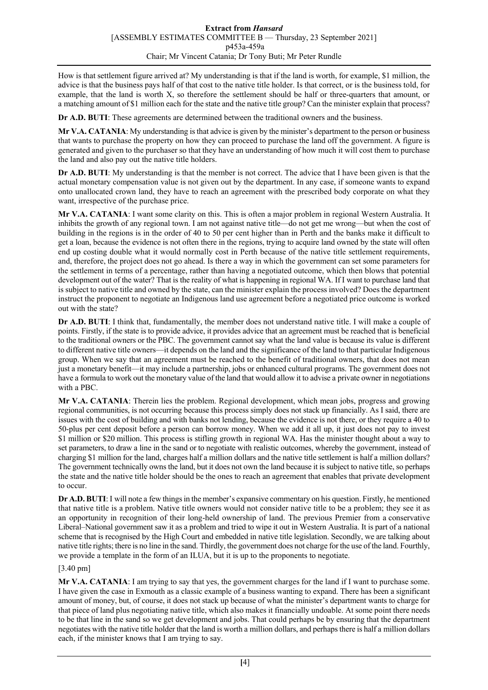How is that settlement figure arrived at? My understanding is that if the land is worth, for example, \$1 million, the advice is that the business pays half of that cost to the native title holder. Is that correct, or is the business told, for example, that the land is worth X, so therefore the settlement should be half or three-quarters that amount, or a matching amount of \$1 million each for the state and the native title group? Can the minister explain that process?

**Dr A.D. BUTI**: These agreements are determined between the traditional owners and the business.

**Mr V.A. CATANIA**: My understanding is that advice is given by the minister's department to the person or business that wants to purchase the property on how they can proceed to purchase the land off the government. A figure is generated and given to the purchaser so that they have an understanding of how much it will cost them to purchase the land and also pay out the native title holders.

**Dr A.D. BUTI**: My understanding is that the member is not correct. The advice that I have been given is that the actual monetary compensation value is not given out by the department. In any case, if someone wants to expand onto unallocated crown land, they have to reach an agreement with the prescribed body corporate on what they want, irrespective of the purchase price.

**Mr V.A. CATANIA**: I want some clarity on this. This is often a major problem in regional Western Australia. It inhibits the growth of any regional town. I am not against native title—do not get me wrong—but when the cost of building in the regions is in the order of 40 to 50 per cent higher than in Perth and the banks make it difficult to get a loan, because the evidence is not often there in the regions, trying to acquire land owned by the state will often end up costing double what it would normally cost in Perth because of the native title settlement requirements, and, therefore, the project does not go ahead. Is there a way in which the government can set some parameters for the settlement in terms of a percentage, rather than having a negotiated outcome, which then blows that potential development out of the water? That is the reality of what is happening in regional WA. If I want to purchase land that is subject to native title and owned by the state, can the minister explain the process involved? Does the department instruct the proponent to negotiate an Indigenous land use agreement before a negotiated price outcome is worked out with the state?

**Dr A.D. BUTI**: I think that, fundamentally, the member does not understand native title. I will make a couple of points. Firstly, if the state is to provide advice, it provides advice that an agreement must be reached that is beneficial to the traditional owners or the PBC. The government cannot say what the land value is because its value is different to different native title owners—it depends on the land and the significance of the land to that particular Indigenous group. When we say that an agreement must be reached to the benefit of traditional owners, that does not mean just a monetary benefit—it may include a partnership, jobs or enhanced cultural programs. The government does not have a formula to work out the monetary value of the land that would allow it to advise a private owner in negotiations with a PBC.

**Mr V.A. CATANIA**: Therein lies the problem. Regional development, which mean jobs, progress and growing regional communities, is not occurring because this process simply does not stack up financially. As I said, there are issues with the cost of building and with banks not lending, because the evidence is not there, or they require a 40 to 50-plus per cent deposit before a person can borrow money. When we add it all up, it just does not pay to invest \$1 million or \$20 million. This process is stifling growth in regional WA. Has the minister thought about a way to set parameters, to draw a line in the sand or to negotiate with realistic outcomes, whereby the government, instead of charging \$1 million for the land, charges half a million dollars and the native title settlement is half a million dollars? The government technically owns the land, but it does not own the land because it is subject to native title, so perhaps the state and the native title holder should be the ones to reach an agreement that enables that private development to occur.

**Dr A.D. BUTI**: I will note a few things in the member's expansive commentary on his question. Firstly, he mentioned that native title is a problem. Native title owners would not consider native title to be a problem; they see it as an opportunity in recognition of their long-held ownership of land. The previous Premier from a conservative Liberal–National government saw it as a problem and tried to wipe it out in Western Australia. It is part of a national scheme that is recognised by the High Court and embedded in native title legislation. Secondly, we are talking about native title rights; there is no line in the sand. Thirdly, the government does not charge for the use of the land. Fourthly, we provide a template in the form of an ILUA, but it is up to the proponents to negotiate.

## [3.40 pm]

**Mr V.A. CATANIA**: I am trying to say that yes, the government charges for the land if I want to purchase some. I have given the case in Exmouth as a classic example of a business wanting to expand. There has been a significant amount of money, but, of course, it does not stack up because of what the minister's department wants to charge for that piece of land plus negotiating native title, which also makes it financially undoable. At some point there needs to be that line in the sand so we get development and jobs. That could perhaps be by ensuring that the department negotiates with the native title holder that the land is worth a million dollars, and perhaps there is half a million dollars each, if the minister knows that I am trying to say.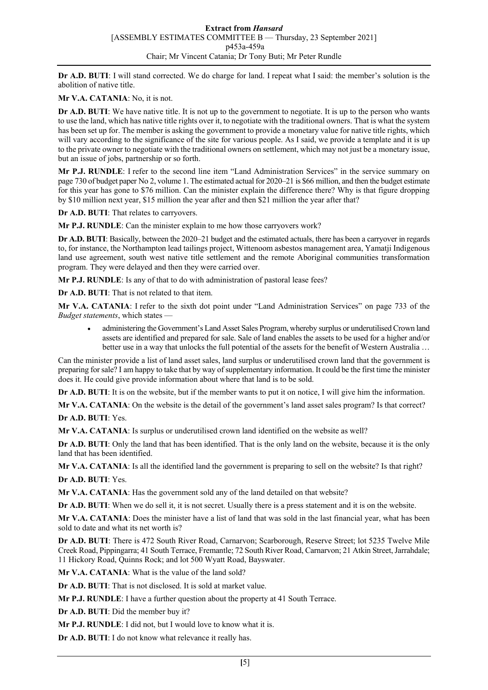**Dr A.D. BUTI**: I will stand corrected. We do charge for land. I repeat what I said: the member's solution is the abolition of native title.

**Mr V.A. CATANIA**: No, it is not.

**Dr A.D. BUTI**: We have native title. It is not up to the government to negotiate. It is up to the person who wants to use the land, which has native title rights over it, to negotiate with the traditional owners. That is what the system has been set up for. The member is asking the government to provide a monetary value for native title rights, which will vary according to the significance of the site for various people. As I said, we provide a template and it is up to the private owner to negotiate with the traditional owners on settlement, which may not just be a monetary issue, but an issue of jobs, partnership or so forth.

**Mr P.J. RUNDLE**: I refer to the second line item "Land Administration Services" in the service summary on page 730 of budget paper No 2, volume 1. The estimated actual for 2020–21 is \$66 million, and then the budget estimate for this year has gone to \$76 million. Can the minister explain the difference there? Why is that figure dropping by \$10 million next year, \$15 million the year after and then \$21 million the year after that?

**Dr A.D. BUTI**: That relates to carryovers.

**Mr P.J. RUNDLE**: Can the minister explain to me how those carryovers work?

**Dr A.D. BUTI**: Basically, between the 2020–21 budget and the estimated actuals, there has been a carryover in regards to, for instance, the Northampton lead tailings project, Wittenoom asbestos management area, Yamatji Indigenous land use agreement, south west native title settlement and the remote Aboriginal communities transformation program. They were delayed and then they were carried over.

**Mr P.J. RUNDLE**: Is any of that to do with administration of pastoral lease fees?

**Dr A.D. BUTI**: That is not related to that item.

**Mr V.A. CATANIA**: I refer to the sixth dot point under "Land Administration Services" on page 733 of the *Budget statements*, which states —

• administering the Government's Land Asset Sales Program, whereby surplus or underutilised Crown land assets are identified and prepared for sale. Sale of land enables the assets to be used for a higher and/or better use in a way that unlocks the full potential of the assets for the benefit of Western Australia ...

Can the minister provide a list of land asset sales, land surplus or underutilised crown land that the government is preparing for sale? I am happy to take that by way of supplementary information. It could be the first time the minister does it. He could give provide information about where that land is to be sold.

**Dr A.D. BUTI**: It is on the website, but if the member wants to put it on notice, I will give him the information.

**Mr V.A. CATANIA**: On the website is the detail of the government's land asset sales program? Is that correct?

**Dr A.D. BUTI**: Yes.

**Mr V.A. CATANIA**: Is surplus or underutilised crown land identified on the website as well?

**Dr A.D. BUTI**: Only the land that has been identified. That is the only land on the website, because it is the only land that has been identified.

**Mr V.A. CATANIA**: Is all the identified land the government is preparing to sell on the website? Is that right?

**Dr A.D. BUTI**: Yes.

**Mr V.A. CATANIA**: Has the government sold any of the land detailed on that website?

**Dr A.D. BUTI**: When we do sell it, it is not secret. Usually there is a press statement and it is on the website.

**Mr V.A. CATANIA**: Does the minister have a list of land that was sold in the last financial year, what has been sold to date and what its net worth is?

**Dr A.D. BUTI**: There is 472 South River Road, Carnarvon; Scarborough, Reserve Street; lot 5235 Twelve Mile Creek Road, Pippingarra; 41 South Terrace, Fremantle; 72 South River Road, Carnarvon; 21 Atkin Street, Jarrahdale; 11 Hickory Road, Quinns Rock; and lot 500 Wyatt Road, Bayswater.

**Mr V.A. CATANIA**: What is the value of the land sold?

**Dr A.D. BUTI**: That is not disclosed. It is sold at market value.

**Mr P.J. RUNDLE**: I have a further question about the property at 41 South Terrace.

**Dr A.D. BUTI**: Did the member buy it?

**Mr P.J. RUNDLE**: I did not, but I would love to know what it is.

**Dr A.D. BUTI**: I do not know what relevance it really has.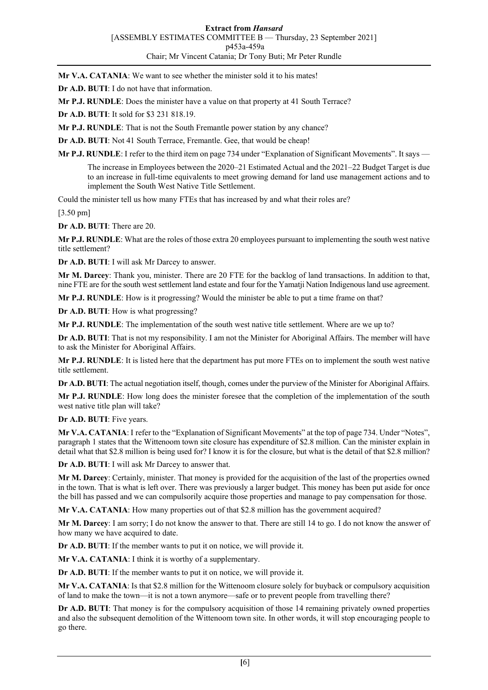**Mr V.A. CATANIA:** We want to see whether the minister sold it to his mates!

**Dr A.D. BUTI**: I do not have that information.

**Mr P.J. RUNDLE**: Does the minister have a value on that property at 41 South Terrace?

**Dr A.D. BUTI**: It sold for \$3 231 818.19.

**Mr P.J. RUNDLE**: That is not the South Fremantle power station by any chance?

**Dr A.D. BUTI**: Not 41 South Terrace, Fremantle. Gee, that would be cheap!

**Mr P.J. RUNDLE**: I refer to the third item on page 734 under "Explanation of Significant Movements". It says —

The increase in Employees between the 2020–21 Estimated Actual and the 2021–22 Budget Target is due to an increase in full-time equivalents to meet growing demand for land use management actions and to implement the South West Native Title Settlement.

Could the minister tell us how many FTEs that has increased by and what their roles are?

[3.50 pm]

**Dr A.D. BUTI**: There are 20.

**Mr P.J. RUNDLE**: What are the roles of those extra 20 employees pursuant to implementing the south west native title settlement?

**Dr A.D. BUTI**: I will ask Mr Darcey to answer.

**Mr M. Darcey**: Thank you, minister. There are 20 FTE for the backlog of land transactions. In addition to that, nine FTE are for the south west settlement land estate and four for the Yamatji Nation Indigenous land use agreement.

**Mr P.J. RUNDLE**: How is it progressing? Would the minister be able to put a time frame on that?

**Dr A.D. BUTI**: How is what progressing?

**Mr P.J. RUNDLE**: The implementation of the south west native title settlement. Where are we up to?

**Dr A.D. BUTI**: That is not my responsibility. I am not the Minister for Aboriginal Affairs. The member will have to ask the Minister for Aboriginal Affairs.

**Mr P.J. RUNDLE**: It is listed here that the department has put more FTEs on to implement the south west native title settlement.

**Dr A.D. BUTI**: The actual negotiation itself, though, comes under the purview of the Minister for Aboriginal Affairs.

**Mr P.J. RUNDLE**: How long does the minister foresee that the completion of the implementation of the south west native title plan will take?

**Dr A.D. BUTI**: Five years.

**Mr V.A. CATANIA**: I refer to the "Explanation of Significant Movements" at the top of page 734. Under "Notes", paragraph 1 states that the Wittenoom town site closure has expenditure of \$2.8 million. Can the minister explain in detail what that \$2.8 million is being used for? I know it is for the closure, but what is the detail of that \$2.8 million?

**Dr A.D. BUTI**: I will ask Mr Darcey to answer that.

**Mr M. Darcey**: Certainly, minister. That money is provided for the acquisition of the last of the properties owned in the town. That is what is left over. There was previously a larger budget. This money has been put aside for once the bill has passed and we can compulsorily acquire those properties and manage to pay compensation for those.

**Mr V.A. CATANIA**: How many properties out of that \$2.8 million has the government acquired?

**Mr M. Darcey**: I am sorry; I do not know the answer to that. There are still 14 to go. I do not know the answer of how many we have acquired to date.

**Dr A.D. BUTI**: If the member wants to put it on notice, we will provide it.

**Mr V.A. CATANIA**: I think it is worthy of a supplementary.

**Dr A.D. BUTI**: If the member wants to put it on notice, we will provide it.

**Mr V.A. CATANIA**: Is that \$2.8 million for the Wittenoom closure solely for buyback or compulsory acquisition of land to make the town—it is not a town anymore—safe or to prevent people from travelling there?

**Dr A.D. BUTI**: That money is for the compulsory acquisition of those 14 remaining privately owned properties and also the subsequent demolition of the Wittenoom town site. In other words, it will stop encouraging people to go there.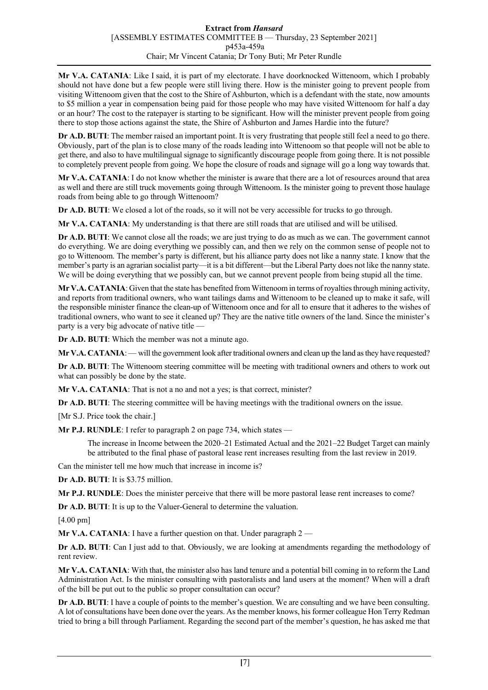## **Extract from** *Hansard* [ASSEMBLY ESTIMATES COMMITTEE B — Thursday, 23 September 2021] p453a-459a Chair; Mr Vincent Catania; Dr Tony Buti; Mr Peter Rundle

**Mr V.A. CATANIA**: Like I said, it is part of my electorate. I have doorknocked Wittenoom, which I probably should not have done but a few people were still living there. How is the minister going to prevent people from visiting Wittenoom given that the cost to the Shire of Ashburton, which is a defendant with the state, now amounts to \$5 million a year in compensation being paid for those people who may have visited Wittenoom for half a day or an hour? The cost to the ratepayer is starting to be significant. How will the minister prevent people from going there to stop those actions against the state, the Shire of Ashburton and James Hardie into the future?

**Dr A.D. BUTI:** The member raised an important point. It is very frustrating that people still feel a need to go there. Obviously, part of the plan is to close many of the roads leading into Wittenoom so that people will not be able to get there, and also to have multilingual signage to significantly discourage people from going there. It is not possible to completely prevent people from going. We hope the closure of roads and signage will go a long way towards that.

**Mr V.A. CATANIA**: I do not know whether the minister is aware that there are a lot of resources around that area as well and there are still truck movements going through Wittenoom. Is the minister going to prevent those haulage roads from being able to go through Wittenoom?

**Dr A.D. BUTI**: We closed a lot of the roads, so it will not be very accessible for trucks to go through.

**Mr V.A. CATANIA**: My understanding is that there are still roads that are utilised and will be utilised.

**Dr A.D. BUTI**: We cannot close all the roads; we are just trying to do as much as we can. The government cannot do everything. We are doing everything we possibly can, and then we rely on the common sense of people not to go to Wittenoom. The member's party is different, but his alliance party does not like a nanny state. I know that the member's party is an agrarian socialist party—it is a bit different—but the Liberal Party does not like the nanny state. We will be doing everything that we possibly can, but we cannot prevent people from being stupid all the time.

**Mr V.A. CATANIA**: Given that the state has benefited from Wittenoom in terms of royalties through mining activity, and reports from traditional owners, who want tailings dams and Wittenoom to be cleaned up to make it safe, will the responsible minister finance the clean-up of Wittenoom once and for all to ensure that it adheres to the wishes of traditional owners, who want to see it cleaned up? They are the native title owners of the land. Since the minister's party is a very big advocate of native title —

**Dr A.D. BUTI**: Which the member was not a minute ago.

**Mr V.A. CATANIA**: — will the government look after traditional owners and clean up the land as they have requested?

**Dr A.D. BUTI**: The Wittenoom steering committee will be meeting with traditional owners and others to work out what can possibly be done by the state.

Mr V.A. CATANIA: That is not a no and not a yes; is that correct, minister?

**Dr A.D. BUTI**: The steering committee will be having meetings with the traditional owners on the issue.

[Mr S.J. Price took the chair.]

**Mr P.J. RUNDLE**: I refer to paragraph 2 on page 734, which states —

The increase in Income between the 2020–21 Estimated Actual and the 2021–22 Budget Target can mainly be attributed to the final phase of pastoral lease rent increases resulting from the last review in 2019.

Can the minister tell me how much that increase in income is?

**Dr A.D. BUTI**: It is \$3.75 million.

**Mr P.J. RUNDLE**: Does the minister perceive that there will be more pastoral lease rent increases to come?

**Dr A.D. BUTI**: It is up to the Valuer-General to determine the valuation.

[4.00 pm]

**Mr V.A. CATANIA:** I have a further question on that. Under paragraph 2

**Dr A.D. BUTI**: Can I just add to that. Obviously, we are looking at amendments regarding the methodology of rent review.

**Mr V.A. CATANIA**: With that, the minister also has land tenure and a potential bill coming in to reform the Land Administration Act. Is the minister consulting with pastoralists and land users at the moment? When will a draft of the bill be put out to the public so proper consultation can occur?

**Dr A.D. BUTI**: I have a couple of points to the member's question. We are consulting and we have been consulting. A lot of consultations have been done over the years. As the member knows, his former colleague Hon Terry Redman tried to bring a bill through Parliament. Regarding the second part of the member's question, he has asked me that